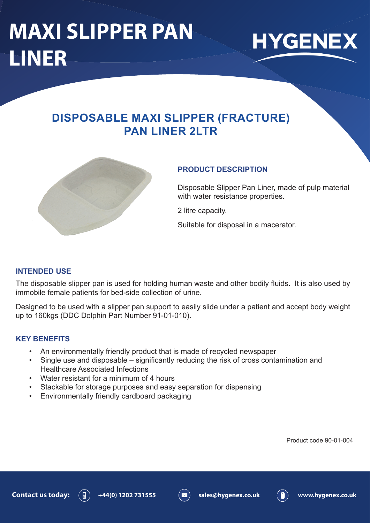## **MAXI SLIPPER PAN LINER**



### **DISPOSABLE MAXI SLIPPER (FRACTURE) PAN LINER 2LTR**



### **PRODUCT DESCRIPTION**

Disposable Slipper Pan Liner, made of pulp material with water resistance properties.

2 litre capacity.

Suitable for disposal in a macerator.

### **INTENDED USE**

The disposable slipper pan is used for holding human waste and other bodily fluids. It is also used by immobile female patients for bed-side collection of urine.

Designed to be used with a slipper pan support to easily slide under a patient and accept body weight up to 160kgs (DDC Dolphin Part Number 91-01-010).

### **KEY BENEFITS**

- An environmentally friendly product that is made of recycled newspaper
- Single use and disposable significantly reducing the risk of cross contamination and Healthcare Associated Infections
- Water resistant for a minimum of 4 hours
- Stackable for storage purposes and easy separation for dispensing
- Environmentally friendly cardboard packaging

Product code 90-01-004